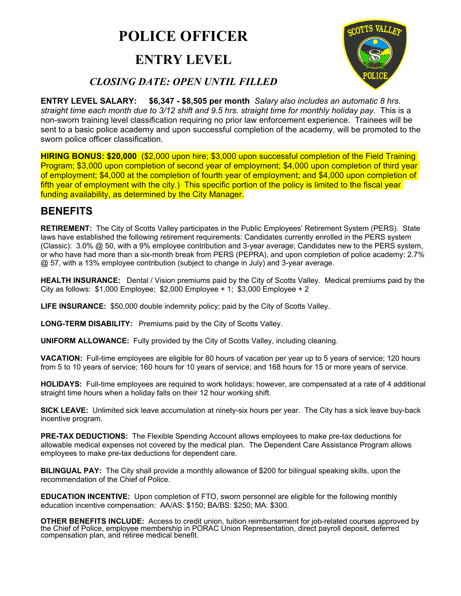# **POLICE OFFICER**

## **ENTRY LEVEL**



## *CLOSING DATE: OPEN UNTIL FILLED*

**ENTRY LEVEL SALARY: \$6,347 - \$8,505 per month** *Salary also includes an automatic 8 hrs. straight time each month due to 3/12 shift and 9.5 hrs. straight time for monthly holiday pay.* This is a non-sworn training level classification requiring no prior law enforcement experience. Trainees will be sent to a basic police academy and upon successful completion of the academy, will be promoted to the sworn police officer classification.

**HIRING BONUS: \$20,000** (\$2,000 upon hire; \$3,000 upon successful completion of the Field Training Program; \$3,000 upon completion of second year of employment; \$4,000 upon completion of third year of employment; \$4,000 at the completion of fourth year of employment; and \$4,000 upon completion of fifth year of employment with the city.) This specific portion of the policy is limited to the fiscal year funding availability, as determined by the City Manager.

## **BENEFITS**

**RETIREMENT:** The City of Scotts Valley participates in the Public Employees' Retirement System (PERS). State laws have established the following retirement requirements: Candidates currently enrolled in the PERS system (Classic): 3.0% @ 50, with a 9% employee contribution and 3-year average; Candidates new to the PERS system, or who have had more than a six-month break from PERS (PEPRA), and upon completion of police academy: 2.7% @ 57, with a 13% employee contribution (subject to change in July) and 3-year average.

**HEALTH INSURANCE:** Dental / Vision premiums paid by the City of Scotts Valley. Medical premiums paid by the City as follows: \$1,000 Employee; \$2,000 Employee + 1; \$3,000 Employee + 2

**LIFE INSURANCE:** \$50,000 double indemnity policy; paid by the City of Scotts Valley.

**LONG-TERM DISABILITY:** Premiums paid by the City of Scotts Valley.

**UNIFORM ALLOWANCE:** Fully provided by the City of Scotts Valley, including cleaning.

**VACATION:** Full-time employees are eligible for 80 hours of vacation per year up to 5 years of service; 120 hours from 5 to 10 years of service; 160 hours for 10 years of service; and 168 hours for 15 or more years of service.

**HOLIDAYS:** Full-time employees are required to work holidays; however, are compensated at a rate of 4 additional straight time hours when a holiday falls on their 12 hour working shift.

**SICK LEAVE:** Unlimited sick leave accumulation at ninety-six hours per year. The City has a sick leave buy-back incentive program.

**PRE-TAX DEDUCTIONS:** The Flexible Spending Account allows employees to make pre-tax deductions for allowable medical expenses not covered by the medical plan. The Dependent Care Assistance Program allows employees to make pre-tax deductions for dependent care.

**BILINGUAL PAY:** The City shall provide a monthly allowance of \$200 for bilingual speaking skills, upon the recommendation of the Chief of Police.

**EDUCATION INCENTIVE:** Upon completion of FTO, sworn personnel are eligible for the following monthly education incentive compensation: AA/AS: \$150; BA/BS: \$250; MA: \$300.

**OTHER BENEFITS INCLUDE:** Access to credit union, tuition reimbursement for job-related courses approved by the Chief of Police, employee membership in PORAC Union Representation, direct payroll deposit, deferred compensat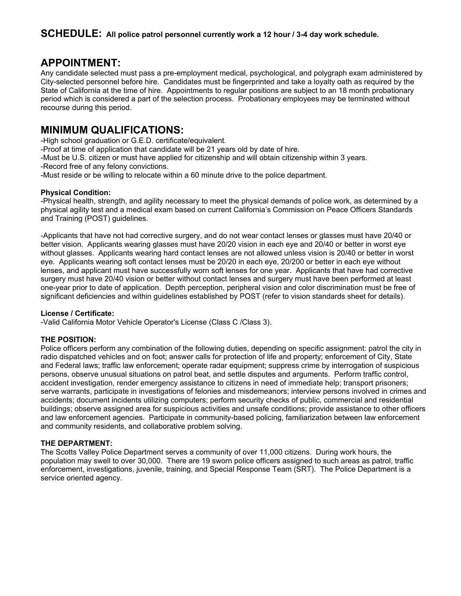## **APPOINTMENT:**

Any candidate selected must pass a pre-employment medical, psychological, and polygraph exam administered by City-selected personnel before hire. Candidates must be fingerprinted and take a loyalty oath as required by the State of California at the time of hire. Appointments to regular positions are subject to an 18 month probationary period which is considered a part of the selection process. Probationary employees may be terminated without recourse during this period.

## **MINIMUM QUALIFICATIONS:**

-High school graduation or G.E.D. certificate/equivalent.

-Proof at time of application that candidate will be 21 years old by date of hire.

-Must be U.S. citizen or must have applied for citizenship and will obtain citizenship within 3 years.

-Record free of any felony convictions.

-Must reside or be willing to relocate within a 60 minute drive to the police department.

#### **Physical Condition:**

-Physical health, strength, and agility necessary to meet the physical demands of police work, as determined by a physical agility test and a medical exam based on current California's Commission on Peace Officers Standards and Training (POST) guidelines.

-Applicants that have not had corrective surgery, and do not wear contact lenses or glasses must have 20/40 or better vision. Applicants wearing glasses must have 20/20 vision in each eye and 20/40 or better in worst eye without glasses. Applicants wearing hard contact lenses are not allowed unless vision is 20/40 or better in worst eye. Applicants wearing soft contact lenses must be 20/20 in each eye, 20/200 or better in each eye without lenses, and applicant must have successfully worn soft lenses for one year. Applicants that have had corrective surgery must have 20/40 vision or better without contact lenses and surgery must have been performed at least one-year prior to date of application. Depth perception, peripheral vision and color discrimination must be free of significant deficiencies and within guidelines established by POST (refer to vision standards sheet for details).

#### **License / Certificate:**

-Valid California Motor Vehicle Operator's License (Class C /Class 3).

#### **THE POSITION:**

Police officers perform any combination of the following duties, depending on specific assignment: patrol the city in radio dispatched vehicles and on foot; answer calls for protection of life and property; enforcement of City, State and Federal laws; traffic law enforcement; operate radar equipment; suppress crime by interrogation of suspicious persons, observe unusual situations on patrol beat, and settle disputes and arguments. Perform traffic control, accident investigation, render emergency assistance to citizens in need of immediate help; transport prisoners; serve warrants, participate in investigations of felonies and misdemeanors; interview persons involved in crimes and accidents; document incidents utilizing computers; perform security checks of public, commercial and residential buildings; observe assigned area for suspicious activities and unsafe conditions; provide assistance to other officers and law enforcement agencies. Participate in community-based policing, familiarization between law enforcement and community residents, and collaborative problem solving.

#### **THE DEPARTMENT:**

The Scotts Valley Police Department serves a community of over 11,000 citizens. During work hours, the population may swell to over 30,000. There are 19 sworn police officers assigned to such areas as patrol, traffic enforcement, investigations, juvenile, training, and Special Response Team (SRT). The Police Department is a service oriented agency.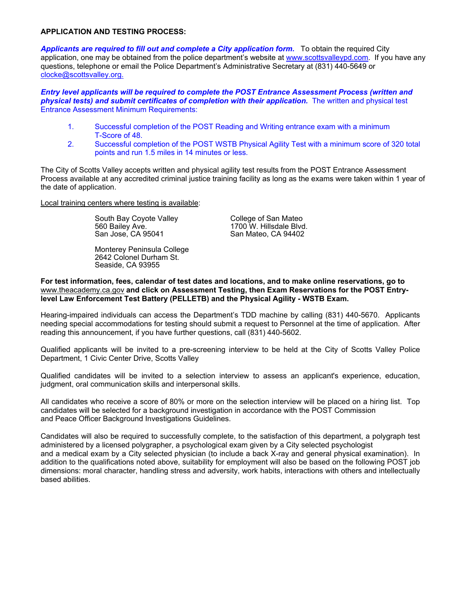#### **APPLICATION AND TESTING PROCESS:**

*Applicants are required to fill out and complete a City application form.* To obtain the required City application, one may be obtained from the police department's website at www.scottsvalleypd.com. If you have any questions, telephone or email the Police Department's Administrative Secretary at (831) 440-5649 or clocke@scottsvalley.org.

*Entry level applicants will be required to complete the POST Entrance Assessment Process (written and physical tests) and submit certificates of completion with their application.* **The written and physical test** Entrance Assessment Minimum Requirements:

- 1. Successful completion of the POST Reading and Writing entrance exam with a minimum T-Score of 48.
- 2. Successful completion of the POST WSTB Physical Agility Test with a minimum score of 320 total points and run 1.5 miles in 14 minutes or less.

The City of Scotts Valley accepts written and physical agility test results from the POST Entrance Assessment Process available at any accredited criminal justice training facility as long as the exams were taken within 1 year of the date of application.

Local training centers where testing is available:

South Bay Coyote Valley College of San Mateo<br>1700 W. Hillsdale Blvd. 560 Bailey Ave. 1700 W. Hillsdale Blvd. San Jose, CA 95041 San Mateo, CA 94402

 Monterey Peninsula College 2642 Colonel Durham St. Seaside, CA 93955

**For test information, fees, calendar of test dates and locations, and to make online reservations, go to**  www.theacademy.ca.gov **and click on Assessment Testing, then Exam Reservations for the POST Entrylevel Law Enforcement Test Battery (PELLETB) and the Physical Agility - WSTB Exam.**

Hearing-impaired individuals can access the Department's TDD machine by calling (831) 440-5670. Applicants needing special accommodations for testing should submit a request to Personnel at the time of application. After reading this announcement, if you have further questions, call (831) 440-5602.

Qualified applicants will be invited to a pre-screening interview to be held at the City of Scotts Valley Police Department, 1 Civic Center Drive, Scotts Valley

Qualified candidates will be invited to a selection interview to assess an applicant's experience, education, judgment, oral communication skills and interpersonal skills.

All candidates who receive a score of 80% or more on the selection interview will be placed on a hiring list. Top candidates will be selected for a background investigation in accordance with the POST Commission and Peace Officer Background Investigations Guidelines.

Candidates will also be required to successfully complete, to the satisfaction of this department, a polygraph test administered by a licensed polygrapher, a psychological exam given by a City selected psychologist and a medical exam by a City selected physician (to include a back X-ray and general physical examination). In addition to the qualifications noted above, suitability for employment will also be based on the following POST job dimensions: moral character, handling stress and adversity, work habits, interactions with others and intellectually based abilities.